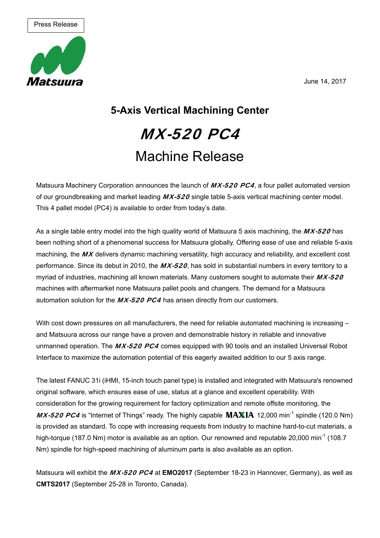June 14, 2017



## **5-Axis Vertical Machining Center**  MX-520 PC4 Machine Release

Matsuura Machinery Corporation announces the launch of MX-520 PC4, a four pallet automated version of our groundbreaking and market leading  $MX-520$  single table 5-axis vertical machining center model. This 4 pallet model (PC4) is available to order from today's date.

As a single table entry model into the high quality world of Matsuura 5 axis machining, the  $MX-520$  has been nothing short of a phenomenal success for Matsuura globally. Offering ease of use and reliable 5-axis machining, the MX delivers dynamic machining versatility, high accuracy and reliability, and excellent cost performance. Since its debut in 2010, the MX-520, has sold in substantial numbers in every territory to a myriad of industries, machining all known materials. Many customers sought to automate their  $MX-520$ machines with aftermarket none Matsuura pallet pools and changers. The demand for a Matsuura automation solution for the  $MX-520$  PC4 has arisen directly from our customers.

With cost down pressures on all manufacturers, the need for reliable automated machining is increasing – and Matsuura across our range have a proven and demonstrable history in reliable and innovative unmanned operation. The MX-520 PC4 comes equipped with 90 tools and an installed Universal Robot Interface to maximize the automation potential of this eagerly awaited addition to our 5 axis range.

The latest FANUC 31i (iHMI, 15-inch touch panel type) is installed and integrated with Matsuura's renowned original software, which ensures ease of use, status at a glance and excellent operability. With consideration for the growing requirement for factory optimization and remote offsite monitoring, the  $MX-520$  PC4 is "Internet of Things" ready. The highly capable  $MAXIA$  12,000 min<sup>-1</sup> spindle (120.0 Nm) is provided as standard. To cope with increasing requests from industry to machine hard-to-cut materials, a high-torque (187.0 Nm) motor is available as an option. Our renowned and reputable 20,000 min<sup>-1</sup> (108.7 Nm) spindle for high-speed machining of aluminum parts is also available as an option.

Matsuura will exhibit the MX-520 PC4 at **EMO2017** (September 18-23 in Hannover, Germany), as well as **CMTS2017** (September 25-28 in Toronto, Canada).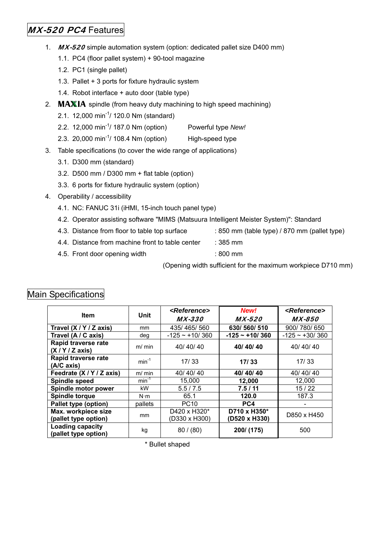## MX-520 PC4 Features

- 1. MX-520 simple automation system (option: dedicated pallet size D400 mm)
	- 1.1. PC4 (floor pallet system) + 90-tool magazine
	- 1.2. PC1 (single pallet)
	- 1.3. Pallet + 3 ports for fixture hydraulic system
	- 1.4. Robot interface + auto door (table type)
- 2.  $MAXIA$  spindle (from heavy duty machining to high speed machining)
	- 2.1. 12,000 min-1/ 120.0 Nm (standard)
	- 2.2. 12,000 min-1/ 187.0 Nm (option) Powerful type *New!*
	- 2.3. 20,000 min-1/ 108.4 Nm (option) High-speed type
- 3. Table specifications (to cover the wide range of applications)
	- 3.1. D300 mm (standard)
	- 3.2. D500 mm / D300 mm + flat table (option)
	- 3.3. 6 ports for fixture hydraulic system (option)
- 4. Operability / accessibility
	- 4.1. NC: FANUC 31i (iHMI, 15-inch touch panel type)
	- 4.2. Operator assisting software "MIMS (Matsuura Intelligent Meister System)": Standard
	- 4.3. Distance from floor to table top surface : 850 mm (table type) / 870 mm (pallet type)
		-
	- 4.4. Distance from machine front to table center : 385 mm
	- 4.5. Front door opening width : 800 mm

(Opening width sufficient for the maximum workpiece D710 mm)

| n Specifications                                |             |                                       |                               |                         |
|-------------------------------------------------|-------------|---------------------------------------|-------------------------------|-------------------------|
| <b>Item</b>                                     | Unit        | <i><b><reference></reference></b></i> | New!                          | <reference></reference> |
|                                                 |             | <i>MX-330</i>                         | <i>MX-520</i>                 | <i>MX-850</i>           |
| Travel (X / Y / Z axis)                         | mm          | 435/465/560                           | 630/560/510                   | 900/780/650             |
| Travel (A / C axis)                             | deg         | $-125 - 10/360$                       | $-125 - +10/360$              | $-125 - 130/360$        |
| Rapid traverse rate<br>(X/Y/Z axis)             | $m/m$ in    | 40/40/40                              | 40/40/40                      | 40/40/40                |
| Rapid traverse rate<br>(A/C axis)               | $min^{-1}$  | 17/33                                 | 17/33                         | 17/33                   |
| Feedrate (X / Y / Z axis)                       | $m/m$ in    | 40/40/40                              | 40/40/40                      | 40/40/40                |
| Spindle speed                                   | $min^{-1}$  | 15,000                                | 12,000                        | 12,000                  |
| Spindle motor power                             | kW.         | 5.5/7.5                               | 7.5/11                        | 15/22                   |
| Spindle torque                                  | $N \cdot m$ | 65.1                                  | 120.0                         | 187.3                   |
| Pallet type (option)                            | pallets     | <b>PC10</b>                           | PC4                           |                         |
| Max. workpiece size<br>(pallet type option)     | mm          | D420 x H320*<br>(D330 x H300)         | D710 x H350*<br>(D520 x H330) | D850 x H450             |
| <b>Loading capacity</b><br>(pallet type option) | kg          | 80 / (80)                             | 200/ (175)                    | 500                     |
| <b>Bullet shaped</b>                            |             |                                       |                               |                         |

## Mai